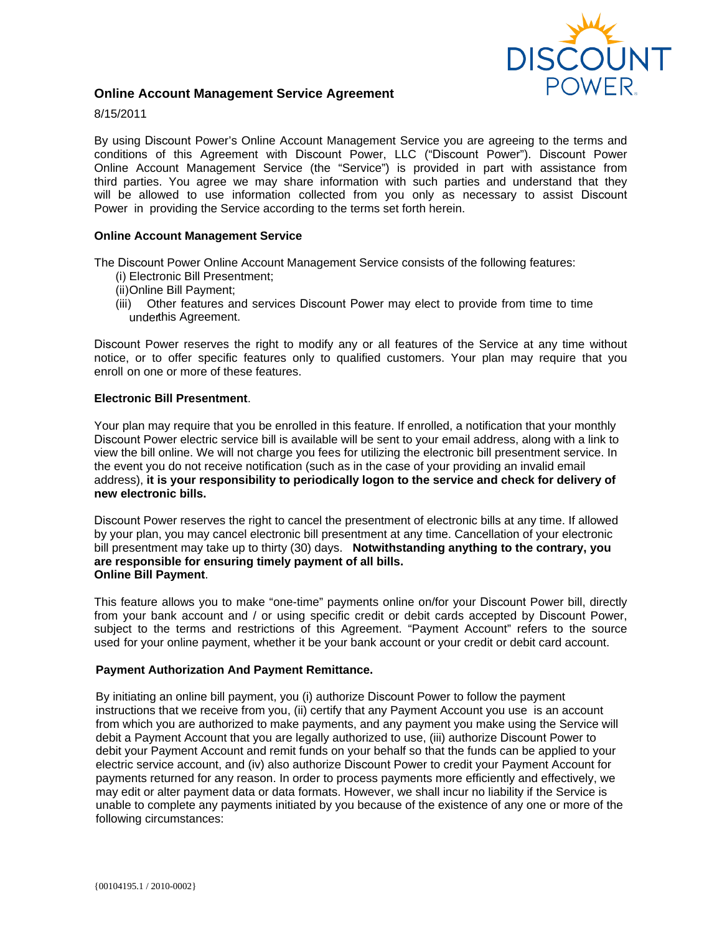

# **Online Account Management Service Agreement**

8/15/2011

By using Discount Power's Online Account Management Service you are agreeing to the terms and conditions of this Agreement with Discount Power, LLC ("Discount Power"). Discount Power Online Account Management Service (the "Service") is provided in part with assistance from third parties. You agree we may share information with such parties and understand that they will be allowed to use information collected from you only as necessary to assist Discount Power in providing the Service according to the terms set forth herein.

## **Online Account Management Service**

The Discount Power Online Account Management Service consists of the following features:

- (i) Electronic Bill Presentment;
- (ii)Online Bill Payment;
- (iii) Other features and services Discount Power may elect to provide from time to time underthis Agreement.

Discount Power reserves the right to modify any or all features of the Service at any time without notice, or to offer specific features only to qualified customers. Your plan may require that you enroll on one or more of these features.

### **Electronic Bill Presentment**.

Your plan may require that you be enrolled in this feature. If enrolled, a notification that your monthly Discount Power electric service bill is available will be sent to your email address, along with a link to view the bill online. We will not charge you fees for utilizing the electronic bill presentment service. In the event you do not receive notification (such as in the case of your providing an invalid email address), **it is your responsibility to periodically logon to the service and check for delivery of new electronic bills.** 

Discount Power reserves the right to cancel the presentment of electronic bills at any time. If allowed by your plan, you may cancel electronic bill presentment at any time. Cancellation of your electronic bill presentment may take up to thirty (30) days. **Notwithstanding anything to the contrary, you are responsible for ensuring timely payment of all bills. Online Bill Payment**.

This feature allows you to make "one-time" payments online on/for your Discount Power bill, directly from your bank account and / or using specific credit or debit cards accepted by Discount Power, subject to the terms and restrictions of this Agreement. "Payment Account" refers to the source used for your online payment, whether it be your bank account or your credit or debit card account.

#### **Payment Authorization And Payment Remittance.**

By initiating an online bill payment, you (i) authorize Discount Power to follow the payment instructions that we receive from you, (ii) certify that any Payment Account you use is an account from which you are authorized to make payments, and any payment you make using the Service will debit a Payment Account that you are legally authorized to use, (iii) authorize Discount Power to debit your Payment Account and remit funds on your behalf so that the funds can be applied to your electric service account, and (iv) also authorize Discount Power to credit your Payment Account for payments returned for any reason. In order to process payments more efficiently and effectively, we may edit or alter payment data or data formats. However, we shall incur no liability if the Service is unable to complete any payments initiated by you because of the existence of any one or more of the following circumstances: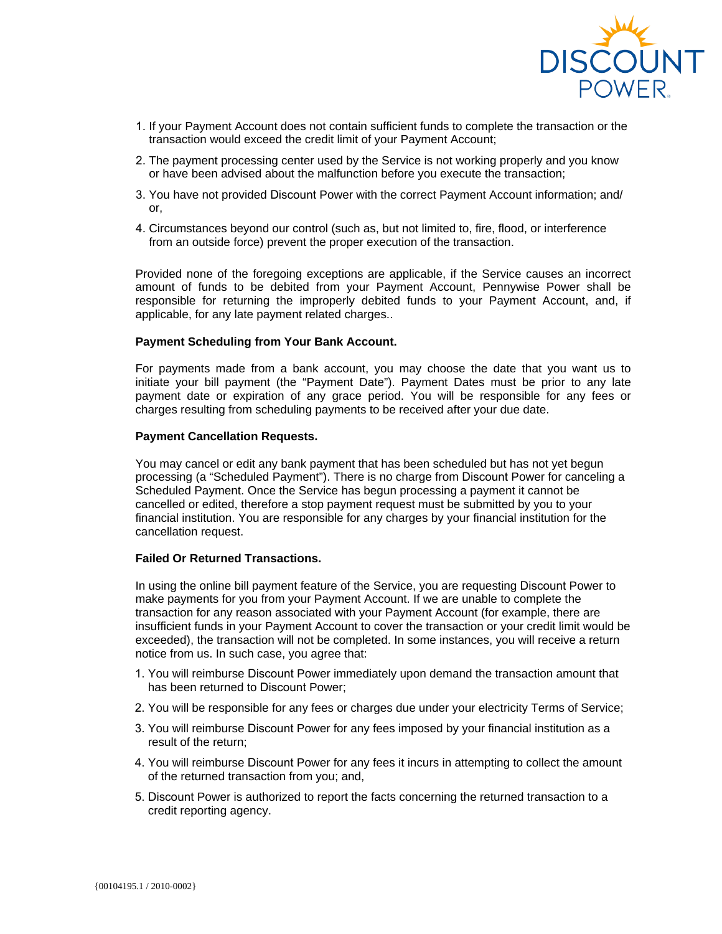

- 1. If your Payment Account does not contain sufficient funds to complete the transaction or the transaction would exceed the credit limit of your Payment Account;
- 2. The payment processing center used by the Service is not working properly and you know or have been advised about the malfunction before you execute the transaction;
- 3. You have not provided Discount Power with the correct Payment Account information; and/ or,
- 4. Circumstances beyond our control (such as, but not limited to, fire, flood, or interference from an outside force) prevent the proper execution of the transaction.

Provided none of the foregoing exceptions are applicable, if the Service causes an incorrect amount of funds to be debited from your Payment Account, Pennywise Power shall be responsible for returning the improperly debited funds to your Payment Account, and, if applicable, for any late payment related charges..

#### **Payment Scheduling from Your Bank Account.**

For payments made from a bank account, you may choose the date that you want us to initiate your bill payment (the "Payment Date"). Payment Dates must be prior to any late payment date or expiration of any grace period. You will be responsible for any fees or charges resulting from scheduling payments to be received after your due date.

#### **Payment Cancellation Requests.**

You may cancel or edit any bank payment that has been scheduled but has not yet begun processing (a "Scheduled Payment"). There is no charge from Discount Power for canceling a Scheduled Payment. Once the Service has begun processing a payment it cannot be cancelled or edited, therefore a stop payment request must be submitted by you to your financial institution. You are responsible for any charges by your financial institution for the cancellation request.

# **Failed Or Returned Transactions.**

In using the online bill payment feature of the Service, you are requesting Discount Power to make payments for you from your Payment Account. If we are unable to complete the transaction for any reason associated with your Payment Account (for example, there are insufficient funds in your Payment Account to cover the transaction or your credit limit would be exceeded), the transaction will not be completed. In some instances, you will receive a return notice from us. In such case, you agree that:

- 1. You will reimburse Discount Power immediately upon demand the transaction amount that has been returned to Discount Power;
- 2. You will be responsible for any fees or charges due under your electricity Terms of Service;
- 3. You will reimburse Discount Power for any fees imposed by your financial institution as a result of the return;
- 4. You will reimburse Discount Power for any fees it incurs in attempting to collect the amount of the returned transaction from you; and,
- 5. Discount Power is authorized to report the facts concerning the returned transaction to a credit reporting agency.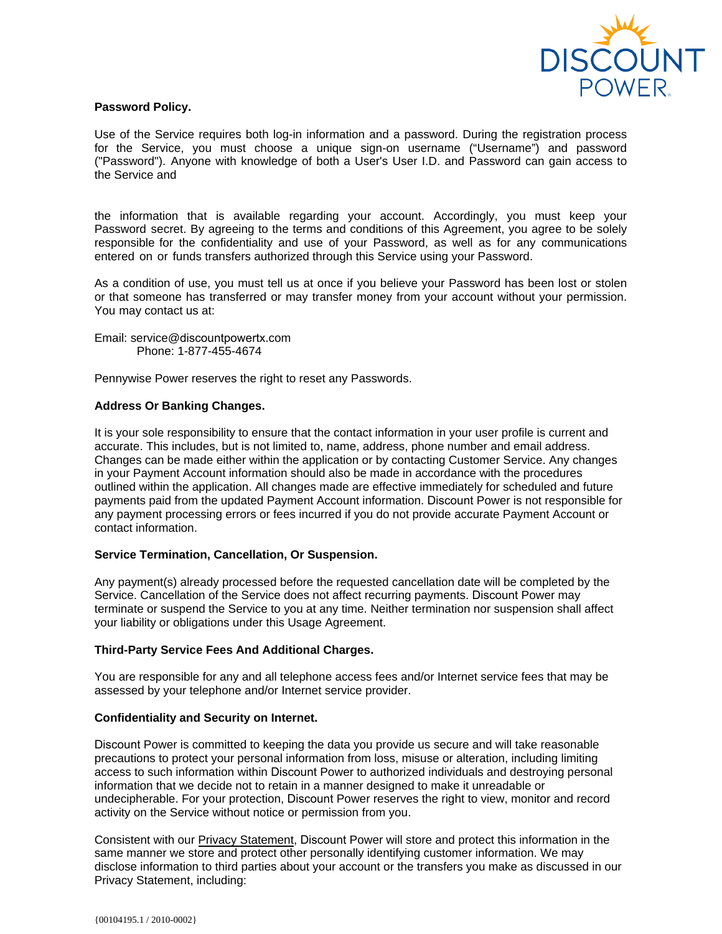

## **Password Policy.**

Use of the Service requires both log-in information and a password. During the registration process for the Service, you must choose a unique sign-on username ("Username") and password ("Password"). Anyone with knowledge of both a User's User I.D. and Password can gain access to the Service and

the information that is available regarding your account. Accordingly, you must keep your Password secret. By agreeing to the terms and conditions of this Agreement, you agree to be solely responsible for the confidentiality and use of your Password, as well as for any communications entered on or funds transfers authorized through this Service using your Password.

As a condition of use, you must tell us at once if you believe your Password has been lost or stolen or that someone has transferred or may transfer money from your account without your permission. You may contact us at:

Email: service@discountpowertx.com Phone: 1-877-455-4674

Pennywise Power reserves the right to reset any Passwords.

## **Address Or Banking Changes.**

It is your sole responsibility to ensure that the contact information in your user profile is current and accurate. This includes, but is not limited to, name, address, phone number and email address. Changes can be made either within the application or by contacting Customer Service. Any changes in your Payment Account information should also be made in accordance with the procedures outlined within the application. All changes made are effective immediately for scheduled and future payments paid from the updated Payment Account information. Discount Power is not responsible for any payment processing errors or fees incurred if you do not provide accurate Payment Account or contact information.

## **Service Termination, Cancellation, Or Suspension.**

Any payment(s) already processed before the requested cancellation date will be completed by the Service. Cancellation of the Service does not affect recurring payments. Discount Power may terminate or suspend the Service to you at any time. Neither termination nor suspension shall affect your liability or obligations under this Usage Agreement.

## **Third-Party Service Fees And Additional Charges.**

You are responsible for any and all telephone access fees and/or Internet service fees that may be assessed by your telephone and/or Internet service provider.

## **Confidentiality and Security on Internet.**

Discount Power is committed to keeping the data you provide us secure and will take reasonable precautions to protect your personal information from loss, misuse or alteration, including limiting access to such information within Discount Power to authorized individuals and destroying personal information that we decide not to retain in a manner designed to make it unreadable or undecipherable. For your protection, Discount Power reserves the right to view, monitor and record activity on the Service without notice or permission from you.

Consistent with our Privacy Statement, Discount Power will store and protect this information in the same manner we store and protect other personally identifying customer information. We may disclose information to third parties about your account or the transfers you make as discussed in our Privacy Statement, including: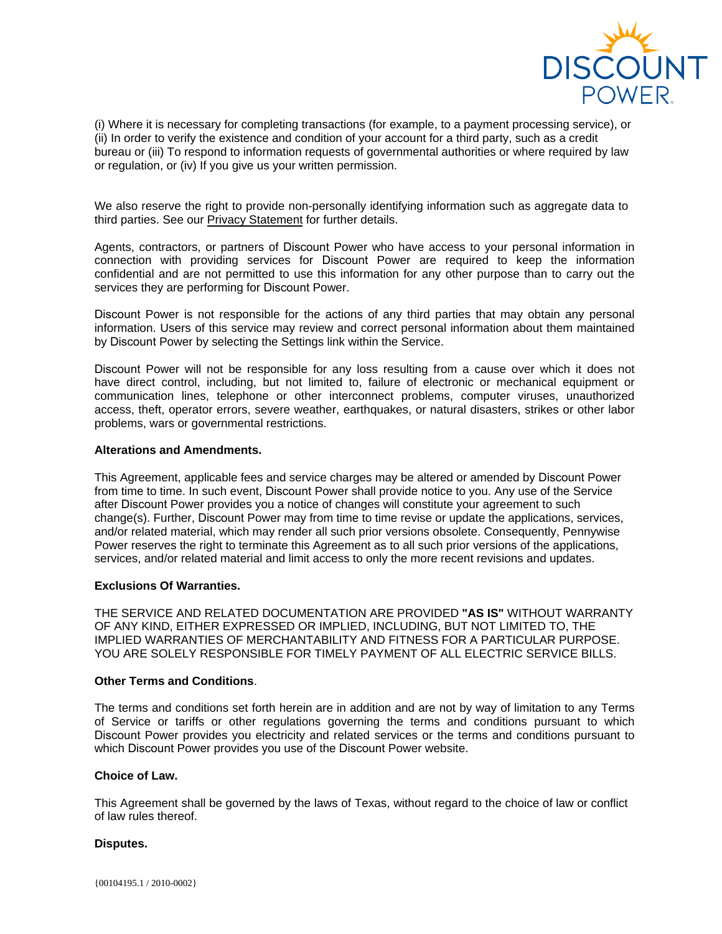

(i) Where it is necessary for completing transactions (for example, to a payment processing service), or (ii) In order to verify the existence and condition of your account for a third party, such as a credit bureau or (iii) To respond to information requests of governmental authorities or where required by law or regulation, or (iv) If you give us your written permission.

We also reserve the right to provide non-personally identifying information such as aggregate data to third parties. See our Privacy Statement for further details.

Agents, contractors, or partners of Discount Power who have access to your personal information in connection with providing services for Discount Power are required to keep the information confidential and are not permitted to use this information for any other purpose than to carry out the services they are performing for Discount Power.

Discount Power is not responsible for the actions of any third parties that may obtain any personal information. Users of this service may review and correct personal information about them maintained by Discount Power by selecting the Settings link within the Service.

Discount Power will not be responsible for any loss resulting from a cause over which it does not have direct control, including, but not limited to, failure of electronic or mechanical equipment or communication lines, telephone or other interconnect problems, computer viruses, unauthorized access, theft, operator errors, severe weather, earthquakes, or natural disasters, strikes or other labor problems, wars or governmental restrictions.

### **Alterations and Amendments.**

This Agreement, applicable fees and service charges may be altered or amended by Discount Power from time to time. In such event, Discount Power shall provide notice to you. Any use of the Service after Discount Power provides you a notice of changes will constitute your agreement to such change(s). Further, Discount Power may from time to time revise or update the applications, services, and/or related material, which may render all such prior versions obsolete. Consequently, Pennywise Power reserves the right to terminate this Agreement as to all such prior versions of the applications, services, and/or related material and limit access to only the more recent revisions and updates.

## **Exclusions Of Warranties.**

THE SERVICE AND RELATED DOCUMENTATION ARE PROVIDED **"AS IS"** WITHOUT WARRANTY OF ANY KIND, EITHER EXPRESSED OR IMPLIED, INCLUDING, BUT NOT LIMITED TO, THE IMPLIED WARRANTIES OF MERCHANTABILITY AND FITNESS FOR A PARTICULAR PURPOSE. YOU ARE SOLELY RESPONSIBLE FOR TIMELY PAYMENT OF ALL ELECTRIC SERVICE BILLS.

# **Other Terms and Conditions**.

The terms and conditions set forth herein are in addition and are not by way of limitation to any Terms of Service or tariffs or other regulations governing the terms and conditions pursuant to which Discount Power provides you electricity and related services or the terms and conditions pursuant to which Discount Power provides you use of the Discount Power website.

## **Choice of Law.**

This Agreement shall be governed by the laws of Texas, without regard to the choice of law or conflict of law rules thereof.

## **Disputes.**